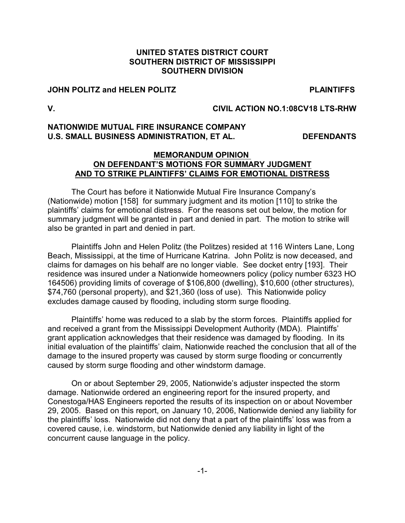# **UNITED STATES DISTRICT COURT SOUTHERN DISTRICT OF MISSISSIPPI SOUTHERN DIVISION**

#### **JOHN POLITZ and HELEN POLITZ PLAINTIFFS**

#### **V. CIVIL ACTION NO.1:08CV18 LTS-RHW**

# **NATIONWIDE MUTUAL FIRE INSURANCE COMPANY** U.S. SMALL BUSINESS ADMINISTRATION, ET AL. DEFENDANTS

#### **MEMORANDUM OPINION ON DEFENDANT'S MOTIONS FOR SUMMARY JUDGMENT AND TO STRIKE PLAINTIFFS' CLAIMS FOR EMOTIONAL DISTRESS**

The Court has before it Nationwide Mutual Fire Insurance Company's (Nationwide) motion [158] for summary judgment and its motion [110] to strike the plaintiffs' claims for emotional distress. For the reasons set out below, the motion for summary judgment will be granted in part and denied in part. The motion to strike will also be granted in part and denied in part.

Plaintiffs John and Helen Politz (the Politzes) resided at 116 Winters Lane, Long Beach, Mississippi, at the time of Hurricane Katrina. John Politz is now deceased, and claims for damages on his behalf are no longer viable. See docket entry [193]. Their residence was insured under a Nationwide homeowners policy (policy number 6323 HO 164506) providing limits of coverage of \$106,800 (dwelling), \$10,600 (other structures), \$74,760 (personal property), and \$21,360 (loss of use). This Nationwide policy excludes damage caused by flooding, including storm surge flooding.

Plaintiffs' home was reduced to a slab by the storm forces. Plaintiffs applied for and received a grant from the Mississippi Development Authority (MDA). Plaintiffs' grant application acknowledges that their residence was damaged by flooding. In its initial evaluation of the plaintiffs' claim, Nationwide reached the conclusion that all of the damage to the insured property was caused by storm surge flooding or concurrently caused by storm surge flooding and other windstorm damage.

On or about September 29, 2005, Nationwide's adjuster inspected the storm damage. Nationwide ordered an engineering report for the insured property, and Conestoga/HAS Engineers reported the results of its inspection on or about November 29, 2005. Based on this report, on January 10, 2006, Nationwide denied any liability for the plaintiffs' loss. Nationwide did not deny that a part of the plaintiffs' loss was from a covered cause, i.e. windstorm, but Nationwide denied any liability in light of the concurrent cause language in the policy.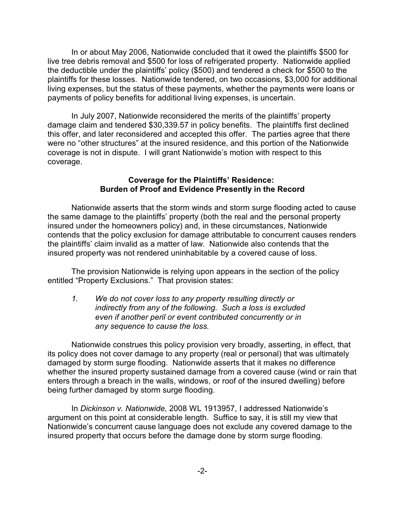In or about May 2006, Nationwide concluded that it owed the plaintiffs \$500 for live tree debris removal and \$500 for loss of refrigerated property. Nationwide applied the deductible under the plaintiffs' policy (\$500) and tendered a check for \$500 to the plaintiffs for these losses. Nationwide tendered, on two occasions, \$3,000 for additional living expenses, but the status of these payments, whether the payments were loans or payments of policy benefits for additional living expenses, is uncertain.

In July 2007, Nationwide reconsidered the merits of the plaintiffs' property damage claim and tendered \$30,339.57 in policy benefits. The plaintiffs first declined this offer, and later reconsidered and accepted this offer. The parties agree that there were no "other structures" at the insured residence, and this portion of the Nationwide coverage is not in dispute. I will grant Nationwide's motion with respect to this coverage.

### **Coverage for the Plaintiffs' Residence: Burden of Proof and Evidence Presently in the Record**

Nationwide asserts that the storm winds and storm surge flooding acted to cause the same damage to the plaintiffs' property (both the real and the personal property insured under the homeowners policy) and, in these circumstances, Nationwide contends that the policy exclusion for damage attributable to concurrent causes renders the plaintiffs' claim invalid as a matter of law. Nationwide also contends that the insured property was not rendered uninhabitable by a covered cause of loss.

The provision Nationwide is relying upon appears in the section of the policy entitled "Property Exclusions." That provision states:

*1. We do not cover loss to any property resulting directly or indirectly from any of the following. Such a loss is excluded even if another peril or event contributed concurrently or in any sequence to cause the loss.* 

Nationwide construes this policy provision very broadly, asserting, in effect, that its policy does not cover damage to any property (real or personal) that was ultimately damaged by storm surge flooding. Nationwide asserts that it makes no difference whether the insured property sustained damage from a covered cause (wind or rain that enters through a breach in the walls, windows, or roof of the insured dwelling) before being further damaged by storm surge flooding.

In *Dickinson v. Nationwide,* 2008 WL 1913957, I addressed Nationwide's argument on this point at considerable length. Suffice to say, it is still my view that Nationwide's concurrent cause language does not exclude any covered damage to the insured property that occurs before the damage done by storm surge flooding.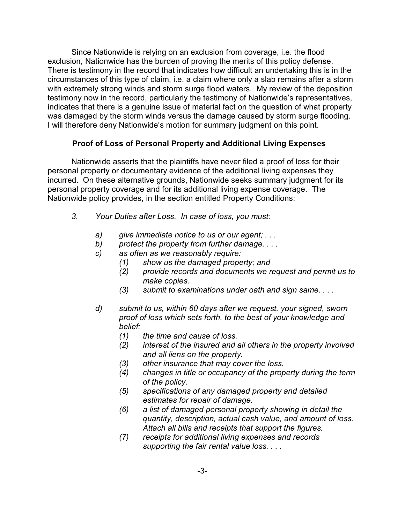Since Nationwide is relying on an exclusion from coverage, i.e. the flood exclusion, Nationwide has the burden of proving the merits of this policy defense. There is testimony in the record that indicates how difficult an undertaking this is in the circumstances of this type of claim, i.e. a claim where only a slab remains after a storm with extremely strong winds and storm surge flood waters. My review of the deposition testimony now in the record, particularly the testimony of Nationwide's representatives, indicates that there is a genuine issue of material fact on the question of what property was damaged by the storm winds versus the damage caused by storm surge flooding. I will therefore deny Nationwide's motion for summary judgment on this point.

# **Proof of Loss of Personal Property and Additional Living Expenses**

Nationwide asserts that the plaintiffs have never filed a proof of loss for their personal property or documentary evidence of the additional living expenses they incurred. On these alternative grounds, Nationwide seeks summary judgment for its personal property coverage and for its additional living expense coverage. The Nationwide policy provides, in the section entitled Property Conditions:

- *3. Your Duties after Loss. In case of loss, you must:*
	- *a) give immediate notice to us or our agent; . . .*
	- *b) protect the property from further damage. . . .*
	- *c) as often as we reasonably require:*
		- *(1) show us the damaged property; and*
		- *(2) provide records and documents we request and permit us to make copies.*
		- *(3) submit to examinations under oath and sign same. . . .*
	- *d) submit to us, within 60 days after we request, your signed, sworn proof of loss which sets forth, to the best of your knowledge and belief:*
		- *(1) the time and cause of loss.*
		- *(2) interest of the insured and all others in the property involved and all liens on the property.*
		- *(3) other insurance that may cover the loss.*
		- *(4) changes in title or occupancy of the property during the term of the policy.*
		- *(5) specifications of any damaged property and detailed estimates for repair of damage.*
		- *(6) a list of damaged personal property showing in detail the quantity, description, actual cash value, and amount of loss. Attach all bills and receipts that support the figures.*
		- *(7) receipts for additional living expenses and records supporting the fair rental value loss. . . .*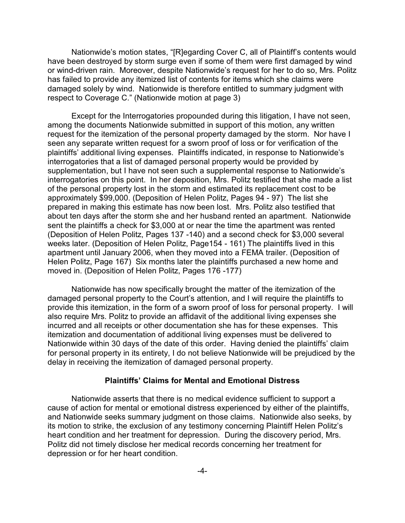Nationwide's motion states, "[R]egarding Cover C, all of Plaintiff's contents would have been destroyed by storm surge even if some of them were first damaged by wind or wind-driven rain. Moreover, despite Nationwide's request for her to do so, Mrs. Politz has failed to provide any itemized list of contents for items which she claims were damaged solely by wind. Nationwide is therefore entitled to summary judgment with respect to Coverage C." (Nationwide motion at page 3)

Except for the Interrogatories propounded during this litigation, I have not seen, among the documents Nationwide submitted in support of this motion, any written request for the itemization of the personal property damaged by the storm. Nor have I seen any separate written request for a sworn proof of loss or for verification of the plaintiffs' additional living expenses. Plaintiffs indicated, in response to Nationwide's interrogatories that a list of damaged personal property would be provided by supplementation, but I have not seen such a supplemental response to Nationwide's interrogatories on this point. In her deposition, Mrs. Politz testified that she made a list of the personal property lost in the storm and estimated its replacement cost to be approximately \$99,000. (Deposition of Helen Politz, Pages 94 - 97) The list she prepared in making this estimate has now been lost. Mrs. Politz also testified that about ten days after the storm she and her husband rented an apartment. Nationwide sent the plaintiffs a check for \$3,000 at or near the time the apartment was rented (Deposition of Helen Politz, Pages 137 -140) and a second check for \$3,000 several weeks later. (Deposition of Helen Politz, Page154 - 161) The plaintiffs lived in this apartment until January 2006, when they moved into a FEMA trailer. (Deposition of Helen Politz, Page 167) Six months later the plaintiffs purchased a new home and moved in. (Deposition of Helen Politz, Pages 176 -177)

Nationwide has now specifically brought the matter of the itemization of the damaged personal property to the Court's attention, and I will require the plaintiffs to provide this itemization, in the form of a sworn proof of loss for personal property. I will also require Mrs. Politz to provide an affidavit of the additional living expenses she incurred and all receipts or other documentation she has for these expenses. This itemization and documentation of additional living expenses must be delivered to Nationwide within 30 days of the date of this order. Having denied the plaintiffs' claim for personal property in its entirety, I do not believe Nationwide will be prejudiced by the delay in receiving the itemization of damaged personal property.

#### **Plaintiffs' Claims for Mental and Emotional Distress**

Nationwide asserts that there is no medical evidence sufficient to support a cause of action for mental or emotional distress experienced by either of the plaintiffs, and Nationwide seeks summary judgment on those claims. Nationwide also seeks, by its motion to strike, the exclusion of any testimony concerning Plaintiff Helen Politz's heart condition and her treatment for depression. During the discovery period, Mrs. Politz did not timely disclose her medical records concerning her treatment for depression or for her heart condition.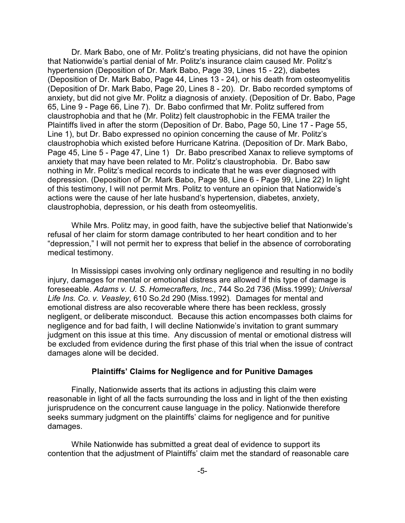Dr. Mark Babo, one of Mr. Politz's treating physicians, did not have the opinion that Nationwide's partial denial of Mr. Politz's insurance claim caused Mr. Politz's hypertension (Deposition of Dr. Mark Babo, Page 39, Lines 15 - 22), diabetes (Deposition of Dr. Mark Babo, Page 44, Lines 13 - 24), or his death from osteomyelitis (Deposition of Dr. Mark Babo, Page 20, Lines 8 - 20). Dr. Babo recorded symptoms of anxiety, but did not give Mr. Politz a diagnosis of anxiety. (Deposition of Dr. Babo, Page 65, Line 9 - Page 66, Line 7). Dr. Babo confirmed that Mr. Politz suffered from claustrophobia and that he (Mr. Politz) felt claustrophobic in the FEMA trailer the Plaintiffs lived in after the storm (Deposition of Dr. Babo, Page 50, Line 17 - Page 55, Line 1), but Dr. Babo expressed no opinion concerning the cause of Mr. Politz's claustrophobia which existed before Hurricane Katrina. (Deposition of Dr. Mark Babo, Page 45, Line 5 - Page 47, Line 1) Dr. Babo prescribed Xanax to relieve symptoms of anxiety that may have been related to Mr. Politz's claustrophobia. Dr. Babo saw nothing in Mr. Politz's medical records to indicate that he was ever diagnosed with depression. (Deposition of Dr. Mark Babo, Page 98, Line 6 - Page 99, Line 22) In light of this testimony, I will not permit Mrs. Politz to venture an opinion that Nationwide's actions were the cause of her late husband's hypertension, diabetes, anxiety, claustrophobia, depression, or his death from osteomyelitis.

While Mrs. Politz may, in good faith, have the subjective belief that Nationwide's refusal of her claim for storm damage contributed to her heart condition and to her "depression," I will not permit her to express that belief in the absence of corroborating medical testimony.

In Mississippi cases involving only ordinary negligence and resulting in no bodily injury, damages for mental or emotional distress are allowed if this type of damage is foreseeable. *Adams v. U. S. Homecrafters, Inc.,* 744 So.2d 736 (Miss.1999)*; Universal Life Ins. Co. v. Veasley,* 610 So.2d 290 (Miss.1992)*.* Damages for mental and emotional distress are also recoverable where there has been reckless, grossly negligent, or deliberate misconduct. Because this action encompasses both claims for negligence and for bad faith, I will decline Nationwide's invitation to grant summary judgment on this issue at this time. Any discussion of mental or emotional distress will be excluded from evidence during the first phase of this trial when the issue of contract damages alone will be decided.

#### **Plaintiffs' Claims for Negligence and for Punitive Damages**

Finally, Nationwide asserts that its actions in adjusting this claim were reasonable in light of all the facts surrounding the loss and in light of the then existing jurisprudence on the concurrent cause language in the policy. Nationwide therefore seeks summary judgment on the plaintiffs' claims for negligence and for punitive damages.

While Nationwide has submitted a great deal of evidence to support its contention that the adjustment of Plaintiffs' claim met the standard of reasonable care